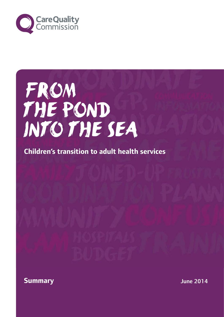

## From the pond into the sea

**Children's transition to adult health services**



June 2014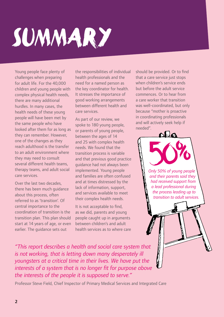# Summary

Young people face plenty of challenges when preparing for adult life. For the 40,000 children and young people with complex physical health needs, there are many additional hurdles. In many cases, the health needs of these young people will have been met by the same people who have looked after them for as long as they can remember. However, one of the changes as they reach adulthood is the transfer to an adult environment where they may need to consult several different health teams, therapy teams, and adult social care services.

Over the last two decades, there has been much guidance about this process, often referred to as 'transition'. Of central importance to the coordination of transition is the transition plan. This plan should start at 14 years of age, or even earlier. The guidance sets out

the responsibilities of individual health professionals and the need for a named person as the key coordinator for health. It stresses the importance of good working arrangements between different health and care services.

As part of our review, we spoke to 180 young people, or parents of young people, between the ages of 14 and 25 with complex health needs. We found that the transition process is variable and that previous good practice guidance had not always been implemented. Young people and families are often confused and at times distressed by the lack of information, support, and services available to meet their complex health needs.

It is not acceptable to find, as we did, parents and young people caught up in arguments between children's and adult health services as to where care should be provided. Or to find that a care service just stops when children's service ends but before the adult service commences. Or to hear from a care worker that transition was well-coordinated, but only because "mother is proactive in coordinating professionals and will actively seek help if needed".

 $\mathbf{D}$ 

*Only 50% of young people and their parents said they had received support from a lead professional during the process leading up to transition to adult services.*

*"This report describes a health and social care system that is not working, that is letting down many desperately ill youngsters at a critical time in their lives. We have put the interests of a system that is no longer fit for purpose above the interests of the people it is supposed to serve."*

Professor Steve Field, Chief Inspector of Primary Medical Services and Integrated Care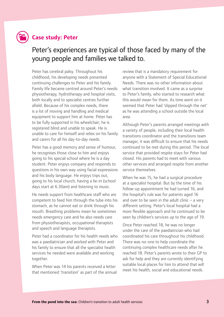

#### **Case study: Peter**

### Peter's experiences are typical of those faced by many of the young people and families we talked to.

Peter has cerebral palsy. Throughout his childhood, his developing needs presented continuing challenges to Peter and his family. Family life became centred around Peter's needs: physiotherapy, hydrotherapy and hospital visits, both locally and to specialist centres further afield. Because of his complex needs, there is a lot of moving and handling and medical equipment to support him at home. Peter has to be fully supported in his wheelchair; he is registered blind and unable to speak. He is unable to care for himself and relies on his family and carers for all his day-to-day needs.

Peter has a good memory and sense of humour, he recognises those close to him and enjoys going to his special school where he is a day student. Peter enjoys company and responds to questions in his own way using facial expressions and his body language. He enjoys trips out, going to his local church, having a lie-in (school days start at 6.30am) and listening to music.

He needs support from healthcare staff who are competent to feed him through the tube into his stomach, as he cannot eat or drink through his mouth. Breathing problems mean he sometimes needs emergency care and he also needs care from physiotherapists, occupational therapists and speech and language therapists.

Peter had a coordinator for his health needs who was a paediatrician and worked with Peter and his family to ensure that all the specialist health services he needed were available and working together.

When Peter was 14 his parents received a letter that mentioned 'transition' as part of the annual review that is a mandatory requirement for anyone with a Statement of Special Educational Needs. There was no other information about what transition involved. It came as a surprise to Peter's family, who started to research what this would mean for them. As time went on it seemed that Peter had 'slipped through the net' as he was attending a school outside the local area.

Although Peter's parents arranged meetings with a variety of people, including their local health transitions coordinator and the transitions team manager, it was difficult to ensure that his needs continued to be met during this period. The local service that provided respite stays for Peter had closed. His parents had to meet with various other services and arranged respite from another service themselves.

When he was 15, he had a surgical procedure at a specialist hospital. But by the time of his follow-up appointment he had turned 16, and the hospital's rule was for patients aged 16 and over to be seen in the adult clinic  $-$  a very different setting. Peter's local hospital had a more flexible approach and he continued to be seen by children's services up to the age of 19.

Once Peter reached 18, he was no longer under the care of the paediatrician who had coordinated his care throughout his childhood. There was no-one to help coordinate the continuing complex healthcare needs after he reached 18. Peter's parents wrote to their GP to ask for help and they are currently identifying suitable local places for him to attend that will meet his health, social and educational needs.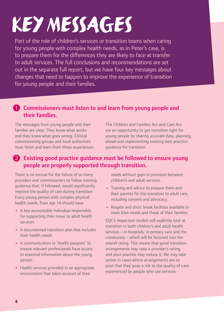# keymessages

Part of the role of children's services or transition teams when caring for young people with complex health needs, as in Peter's case, is to prepare them for the differences they are likely to face at transfer to adult services. The full conclusions and recommendations are set out in the separate full report, but we have four key messages about changes that need to happen to improve the experience of transition for young people and their families.

#### **1** Commissioners must listen to and learn from young people and their families.

The messages from young people and their families are clear. They know what works and they know what goes wrong. Clinical commissioning groups and local authorities must listen and learn from those experiences. The Children and Families Act and Care Act are an opportunity to get transition right for young people by sharing accurate data, planning ahead and implementing existing best practice guidance for transition.

#### 2 Existing good practice quidance must be followed to ensure young people are properly supported through transition.

There is no excuse for the failure of so many providers and commissioners to follow existing guidance that, if followed, would significantly improve the quality of care during transition. Every young person with complex physical health needs, from age 14 should have:

- **•**  A key accountable individual responsible for supporting their move to adult health services.
- **•**  A documented transition plan that includes their health needs.
- **•**  A communication or 'health passport' to ensure relevant professionals have access to essential information about the young person.
- **•**  Health services provided in an appropriate environment that takes account of their

needs without gaps in provision between children's and adult services.

- **•**  Training and advice to prepare them and their parents for the transition to adult care, including consent and advocacy.
- **•**  Respite and short break facilities available to meet their needs and those of their families.

CQC's inspection models will explicitly look at transition in both children's and adult health services – in hospitals, in primary care and the community – which will be factored into the overall rating. This means that good transition arrangements may raise a provider's rating, and poor practice may reduce it. We may take action in cases where arrangements are so poor that they pose a risk to the quality of care experienced by people who use services.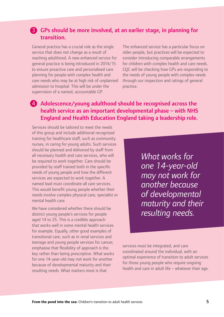#### 3 GPs should be more involved, at an earlier stage, in planning for transition.

General practice has a crucial role as the single service that does not change as a result of reaching adulthood. A new enhanced service for general practice is being introduced in 2014/15 to ensure proactive care and personalised care planning for people with complex health and care needs who may be at high risk of unplanned admission to hospital. This will be under the supervision of a named, accountable GP.

The enhanced service has a particular focus on older people, but practices will be expected to consider introducing comparable arrangements for children with complex health and care needs. CQC will be checking how GPs are responding to the needs of young people with complex needs through our inspection and ratings of general practice.

#### 4 Adolescence/young adulthood should be recognised across the health service as an important developmental phase – with NHS England and Health Education England taking a leadership role.

Services should be tailored to meet the needs of this group and include additional recognised training for healthcare staff, such as community nurses, in caring for young adults. Such services should be planned and delivered by staff from all necessary health and care services, who will be required to work together. Care should be provided by staff trained both in the specific needs of young people and how the different services are expected to work together. A named lead must coordinate all care services. This would benefit young people whether their needs involve complex physical care, specialist or mental health care.

We have considered whether there should be distinct young people's services for people aged 14 to 25. This is a credible approach that works well in some mental health services for example. Equally, other good examples of transitional care, such as in renal services and teenage and young people services for cancer, emphasise that flexibility of approach is the key rather than being prescriptive. What works for one 14-year-old may not work for another because of developmental maturity and their resulting needs. What matters most is that

*What works for one 14-year-old may not work for another because of developmental maturity and their resulting needs.*

services must be integrated, and care coordinated around the individual, with an optimal experience of transition to adult services for those young people who require ongoing health and care in adult life – whatever their age.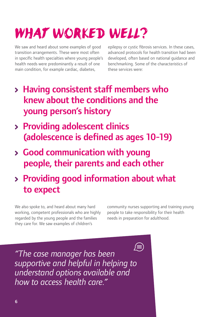## WHAT WORKED WELL?

We saw and heard about some examples of good transition arrangements. These were most often in specific health specialties where young people's health needs were predominantly a result of one main condition, for example cardiac, diabetes,

epilepsy or cystic fibrosis services. In these cases, advanced protocols for health transition had been developed, often based on national guidance and benchmarking. Some of the characteristics of these services were:

- > Having consistent staff members who knew about the conditions and the young person's history
- Providing adolescent clinics (adolescence is defined as ages 10-19)
- Good communication with young people, their parents and each other
- Providing good information about what to expect

We also spoke to, and heard about many hard working, competent professionals who are highly regarded by the young people and the families they care for. We saw examples of children's

community nurses supporting and training young people to take responsibility for their health needs in preparation for adulthood.

*"The case manager has been supportive and helpful in helping to understand options available and how to access health care."*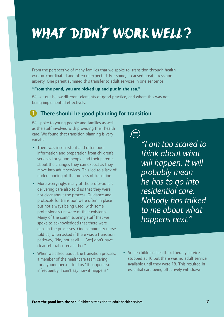## WHAT DIDN'T WORK WELL?

From the perspective of many families that we spoke to, transition through health was un-coordinated and often unexpected. For some, it caused great stress and anxiety. One parent summed this transfer to adult services in one sentence:

#### **"From the pond, you are picked up and put in the sea."**

We set out below different elements of good practice, and where this was not being implemented effectively.

#### 1 There should be good planning for transition

We spoke to young people and families as well as the staff involved with providing their health care. We found that transition planning is very variable:

- There was inconsistent and often poor information and preparation from children's services for young people and their parents about the changes they can expect as they move into adult services. This led to a lack of understanding of the process of transition.
- **•**  More worryingly, many of the professionals delivering care also told us that they were not clear about the process. Guidance and protocols for transition were often in place but not always being used, with some professionals unaware of their existence. Many of the commissioning staff that we spoke to acknowledged that there were gaps in the processes. One community nurse told us, when asked if there was a transition pathway, "No, not at all…. [we] don't have clear referral criteria either."
- When we asked about the transition process, a member of the healthcare team caring for a young person told us "It happens so infrequently, I can't say how it happens."

 $\sqrt{=}$ *"I am too scared to think about what will happen. It will probably mean he has to go into residential care. Nobody has talked to me about what happens next."*

**•**  Some children's health or therapy services stopped at 16 but there was no adult service available until they were 18. This resulted in essential care being effectively withdrawn.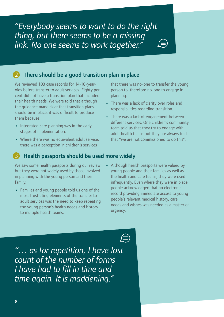*"Everybody seems to want to do the right thing, but there seems to be a missing link. No one seems to work together."*

#### There should be a good transition plan in place

We reviewed 103 case records for 14-18-yearolds before transfer to adult services. Eighty per cent did not have a transition plan that included their health needs. We were told that although the guidance made clear that transition plans should be in place, it was difficult to produce them because:

- **•**  Integrated care planning was in the early stages of implementation.
- Where there was no equivalent adult service, there was a perception in children's services

that there was no-one to transfer the young person to, therefore no-one to engage in planning.

- **•**  There was a lack of clarity over roles and responsibilities regarding transition.
- **•**  There was a lack of engagement between different services. One children's community team told us that they try to engage with adult health teams but they are always told that "we are not commissioned to do this".

#### Health passports should be used more widely

We saw some health passports during our review but they were not widely used by those involved in planning with the young person and their family.

- **•**  Families and young people told us one of the most frustrating elements of the transfer to adult services was the need to keep repeating the young person's health needs and history to multiple health teams.
- **•**  Although health passports were valued by young people and their families as well as the health and care teams, they were used infrequently. Even where they were in place people acknowledged that an electronic record providing immediate access to young people's relevant medical history, care needs and wishes was needed as a matter of urgency.

 $\left(\equiv\right)$ 

*"… as for repetition, I have lost count of the number of forms I have had to fill in time and time again. It is maddening."*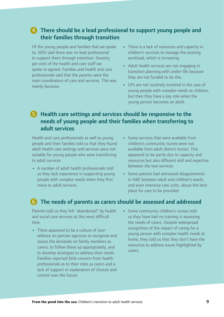#### 4 There should be a lead professional to support young people and their families through transition

Of the young people and families that we spoke to, 50% said there was no lead professional to support them through transition. Seventy per cent of the health and care staff we spoke to agreed. Families and health and care professionals said that the parents were the main coordinators of care and services. This was mainly because:

- **•**  There is a lack of resources and capacity in children's services to manage the existing workload, which is increasing.
- **•**  Adult health services are not engaging in transition planning with under-18s because they are not funded to do this.
- **•**  GPs are not routinely involved in the care of young people with complex needs as children, but then they have a key role when the young person becomes an adult.

#### 5 Health care settings and services should be responsive to the needs of young people and their families when transferring to adult services

Health and care professionals as well as young people and their families told us that they found adult health care settings and services were not suitable for young people who were transferring to adult services.

- **•**  A number of adult health professionals told us they lack experience in supporting young people with complex needs when they first move to adult services.
- **•**  Some services that were available from children's community nurses were not available from adult district nurses. This appeared to be partly due to capacity and resources but also different skill and expertise between the two services.
- **•**  Some parents had witnessed disagreements in A&E between adult and children's wards, and even intensive care units, about the best place for care to be provided.

#### 6 The needs of parents as carers should be assessed and addressed

Parents told us they felt "abandoned" by health and social care services at this most difficult time.

- There appeared to be a culture of overreliance on partner agencies to recognise and assess the demands on family members as carers, to follow these up appropriately, and to develop strategies to address their needs. Families reported little concern from health professionals as to their roles as carers and a lack of support or explanation of choices and control over the future.
- **•**  Some community children's nurses told us they have had no training in assessing the needs of carers. Despite widespread recognition of the impact of caring for a young person with complex health needs at home, they told us that they don't have the resources to address issues highlighted by carers.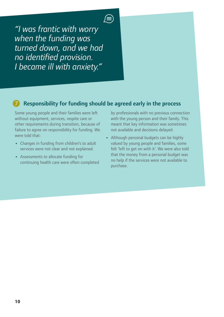*"I was frantic with worry when the funding was turned down, and we had no identified provision. I became ill with anxiety."*

### Responsibility for funding should be agreed early in the process

Some young people and their families were le without equipment, services, respite care or other requirements during transition, because of failure to agree on responsibility for funding. We were told that:

- **•**  Changes in funding from children's to adult services were not clear and not explained.
- **•**  Assessments to allocate funding for continuing health care were often completed

by professionals with no previous connection with the young person and their family. This meant that key information was sometimes not available and decisions delayed.

**•**  Although personal budgets can be highly valued by young people and families, some felt 'left to get on with it'. We were also told that the money from a personal budget was no help if the services were not available to purchase.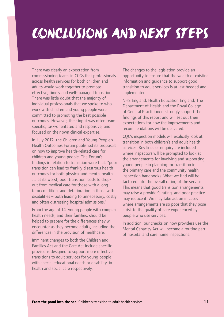### Conclusions and next steps

There was clearly an expectation from commissioning teams in CCGs that professionals across health services for both children and adults would work together to promote effective, timely and well-managed transition. There was little doubt that the majority of individual professionals that we spoke to who work with children and young people were committed to promoting the best possible outcomes. However, their input was often teamspecific, task-orientated and responsive, and focused on their own clinical expertise.

In July 2012, the Children and Young People's Health Outcomes Forum published its proposals on how to improve health-related care for children and young people. The Forum's findings in relation to transition were that: "poor transition can lead to frankly disastrous health outcomes for both physical and mental health … at its worst, poor transition leads to dropout from medical care for those with a longterm condition, and deterioration in those with disabilities – both leading to unnecessary, costly and often distressing hospital admissions."

From the age of 14, young people with complex health needs, and their families, should be helped to prepare for the differences they will encounter as they become adults, including the differences in the provision of healthcare.

Imminent changes to both the Children and Families Act and the Care Act include specific provisions designed to support more effective transitions to adult services for young people with special educational needs or disability, in health and social care respectively.

The changes to the legislation provide an opportunity to ensure that the wealth of existing information and guidance to support good transition to adult services is at last heeded and implemented.

NHS England, Health Education England, The Department of Health and the Royal College of General Practitioners strongly support the findings of this report and will set out their expectations for how the improvements and recommendations will be delivered.

CQC's inspection models will explicitly look at transition in both children's and adult health services. Key lines of enquiry are included where inspectors will be prompted to look at the arrangements for involving and supporting young people in planning for transition in the primary care and the community health inspection handbooks. What we find will be factored into the overall rating of the service. This means that good transition arrangements may raise a provider's rating, and poor practice may reduce it. We may take action in cases where arrangements are so poor that they pose a risk to the quality of care experienced by people who use services.

In addition, our checks on how providers use the Mental Capacity Act will become a routine part of hospital and care home inspections.